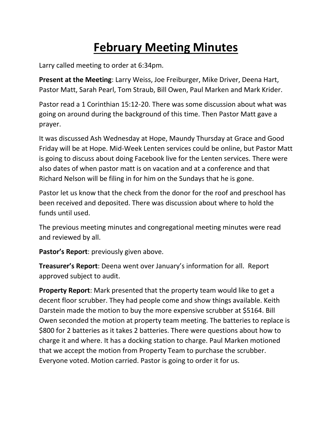## **February Meeting Minutes**

Larry called meeting to order at 6:34pm.

**Present at the Meeting**: Larry Weiss, Joe Freiburger, Mike Driver, Deena Hart, Pastor Matt, Sarah Pearl, Tom Straub, Bill Owen, Paul Marken and Mark Krider.

Pastor read a 1 Corinthian 15:12-20. There was some discussion about what was going on around during the background of this time. Then Pastor Matt gave a prayer.

It was discussed Ash Wednesday at Hope, Maundy Thursday at Grace and Good Friday will be at Hope. Mid-Week Lenten services could be online, but Pastor Matt is going to discuss about doing Facebook live for the Lenten services. There were also dates of when pastor matt is on vacation and at a conference and that Richard Nelson will be filing in for him on the Sundays that he is gone.

Pastor let us know that the check from the donor for the roof and preschool has been received and deposited. There was discussion about where to hold the funds until used.

The previous meeting minutes and congregational meeting minutes were read and reviewed by all.

**Pastor's Report**: previously given above.

**Treasurer's Report**: Deena went over January's information for all. Report approved subject to audit.

**Property Report**: Mark presented that the property team would like to get a decent floor scrubber. They had people come and show things available. Keith Darstein made the motion to buy the more expensive scrubber at \$5164. Bill Owen seconded the motion at property team meeting. The batteries to replace is \$800 for 2 batteries as it takes 2 batteries. There were questions about how to charge it and where. It has a docking station to charge. Paul Marken motioned that we accept the motion from Property Team to purchase the scrubber. Everyone voted. Motion carried. Pastor is going to order it for us.